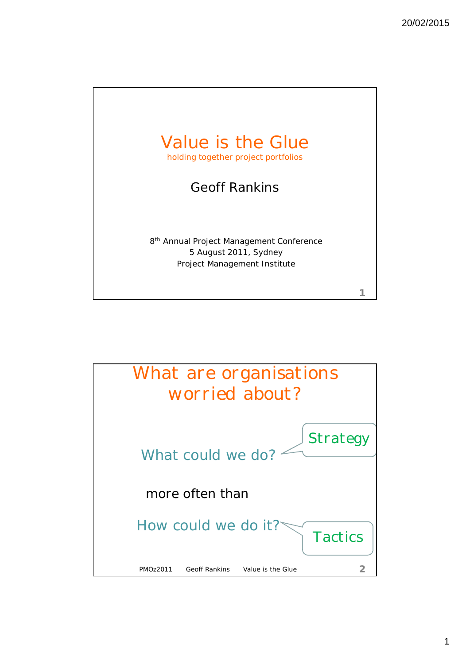

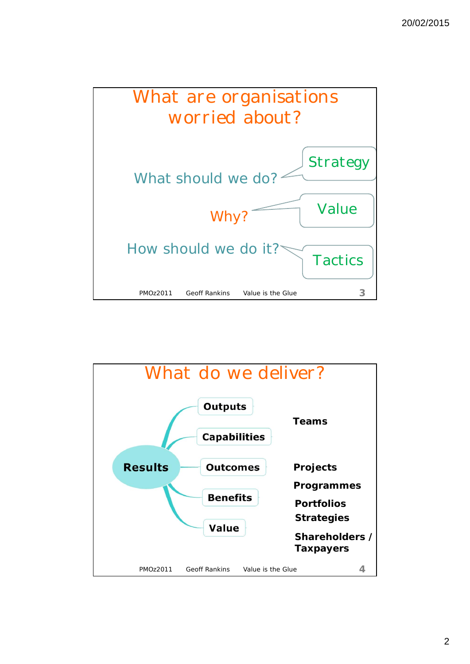

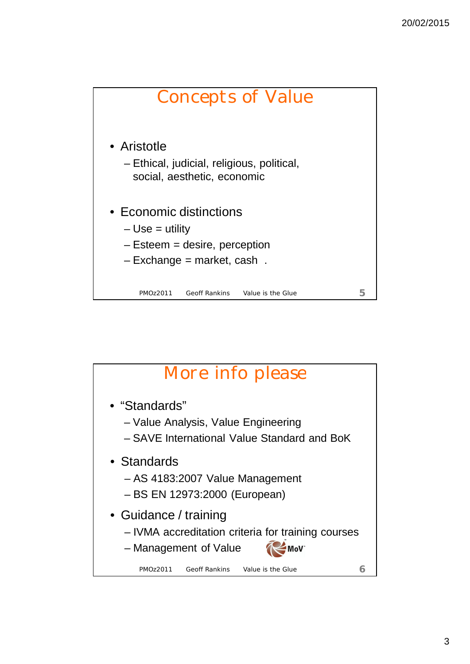

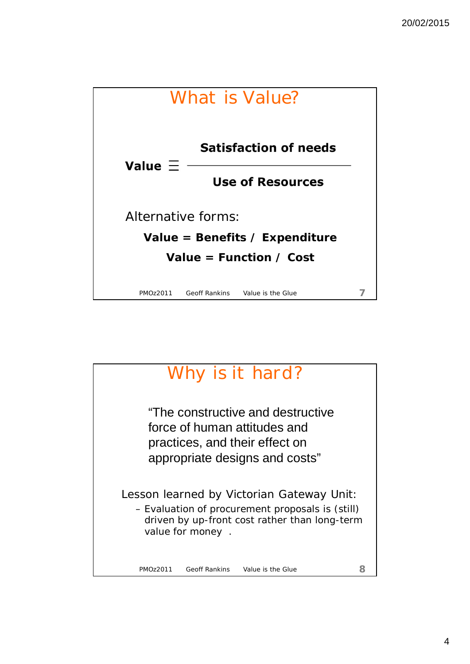

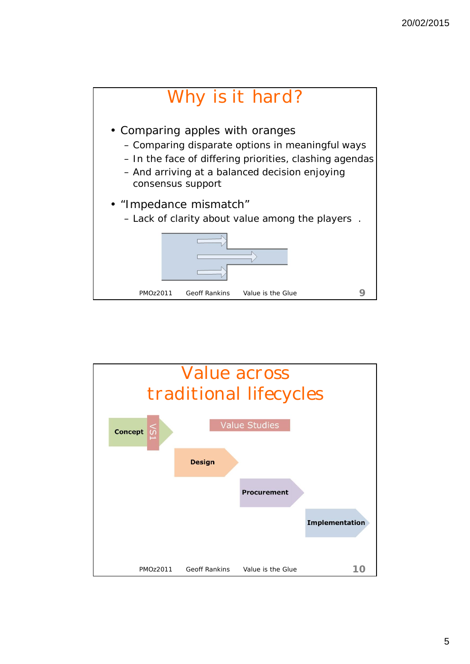

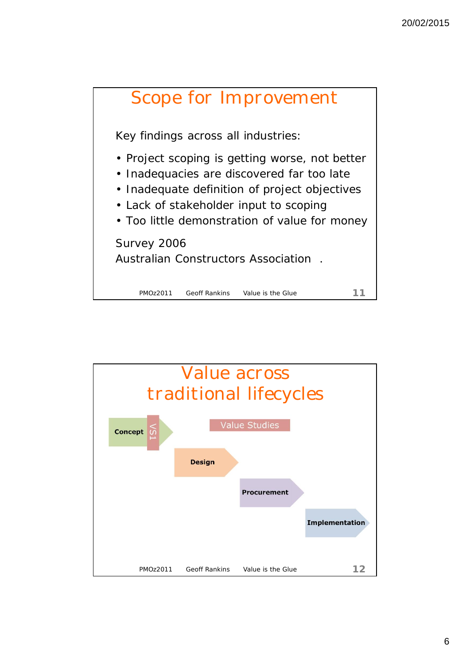

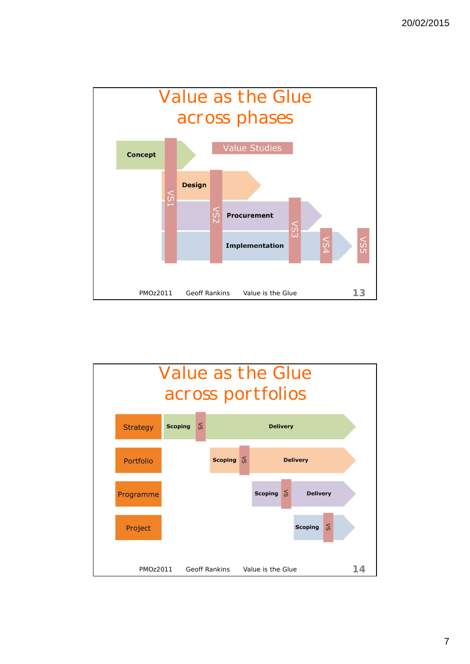

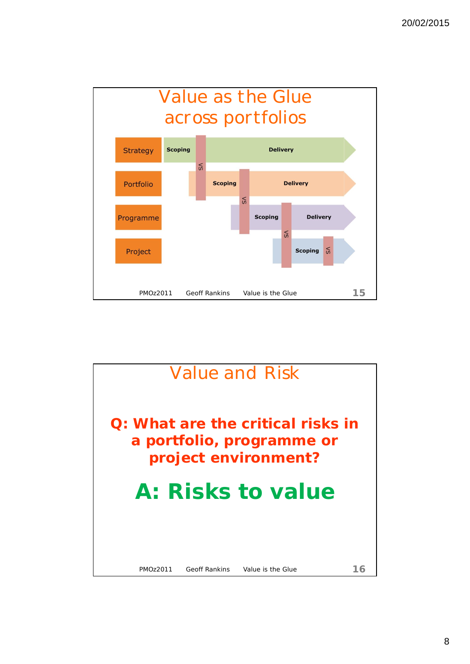

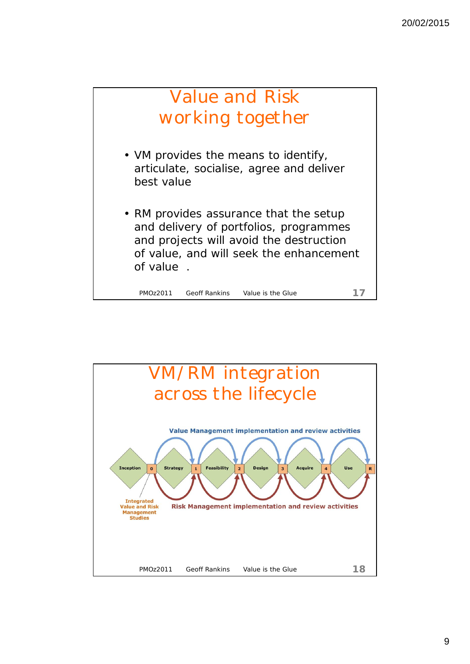

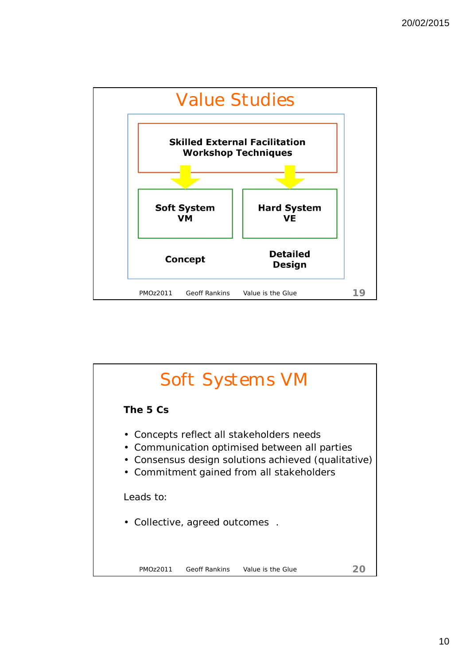

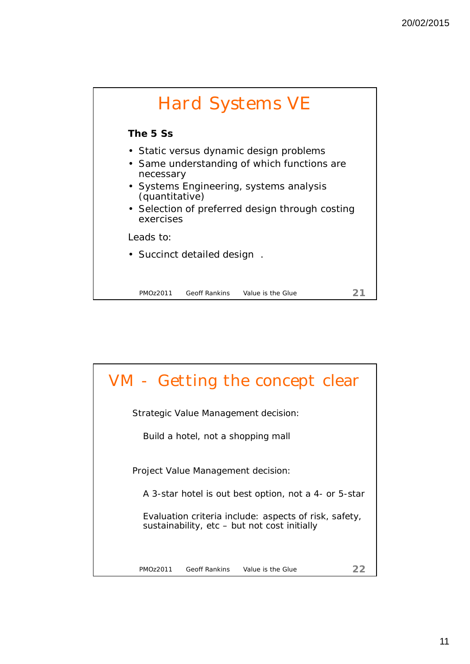

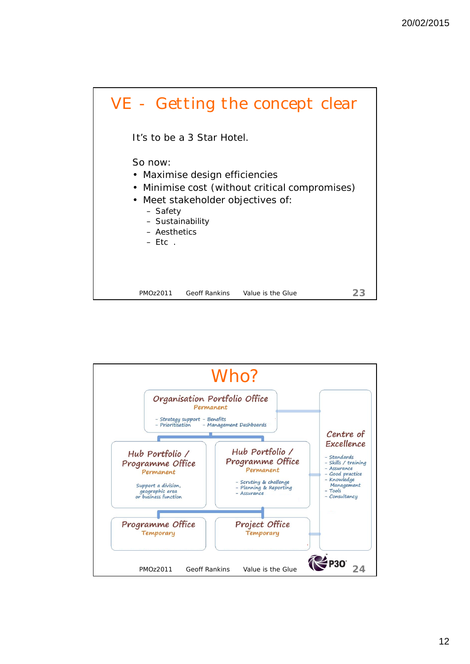